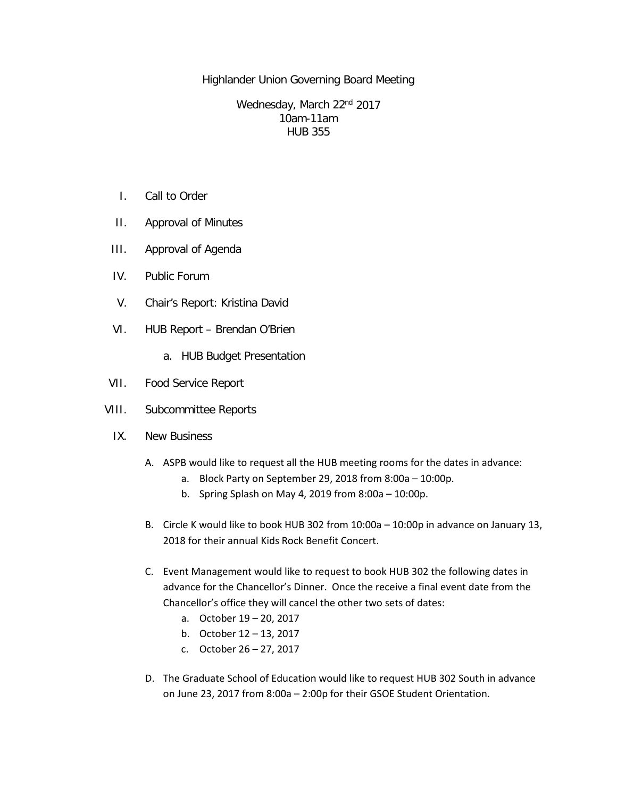Highlander Union Governing Board Meeting

Wednesday, March 22<sup>nd</sup> 2017 10am-11am HUB 355

- I. Call to Order
- II. Approval of Minutes
- III. Approval of Agenda
- IV. Public Forum
- V. Chair's Report: Kristina David
- VI. HUB Report Brendan O'Brien
	- a. HUB Budget Presentation
- VII. Food Service Report
- VIII. Subcommittee Reports
	- IX. New Business
		- A. ASPB would like to request all the HUB meeting rooms for the dates in advance:
			- a. Block Party on September 29, 2018 from 8:00a 10:00p.
			- b. Spring Splash on May 4, 2019 from 8:00a 10:00p.
		- B. Circle K would like to book HUB 302 from 10:00a 10:00p in advance on January 13, 2018 for their annual Kids Rock Benefit Concert.
		- C. Event Management would like to request to book HUB 302 the following dates in advance for the Chancellor's Dinner. Once the receive a final event date from the Chancellor's office they will cancel the other two sets of dates:
			- a. October 19 20, 2017
			- b. October 12 13, 2017
			- c. October 26 27, 2017
		- D. The Graduate School of Education would like to request HUB 302 South in advance on June 23, 2017 from 8:00a – 2:00p for their GSOE Student Orientation.